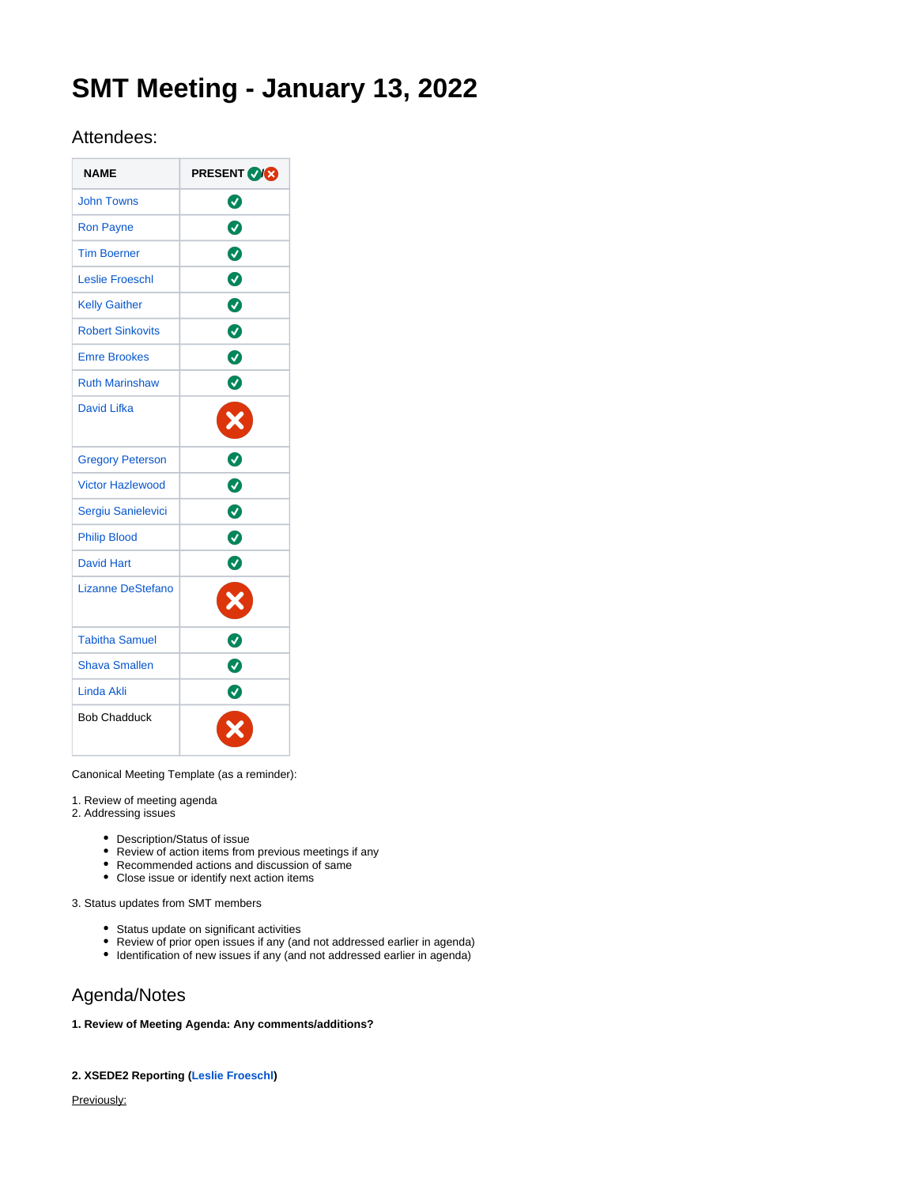# **SMT Meeting - January 13, 2022**

## Attendees:

| <b>NAME</b>              | <b>PRESENT VICE</b> |
|--------------------------|---------------------|
| <b>John Towns</b>        | Ø                   |
| <b>Ron Payne</b>         | ◙                   |
| <b>Tim Boerner</b>       | ◙                   |
| <b>Leslie Froeschl</b>   | ◙                   |
| <b>Kelly Gaither</b>     | $\bullet$           |
| <b>Robert Sinkovits</b>  | Ø                   |
| <b>Emre Brookes</b>      | ◙                   |
| <b>Ruth Marinshaw</b>    | Ø                   |
| David Lifka              |                     |
| <b>Gregory Peterson</b>  | 0                   |
| <b>Victor Hazlewood</b>  | Ø                   |
| Sergiu Sanielevici       | Ø                   |
| <b>Philip Blood</b>      | Ø                   |
| <b>David Hart</b>        | ◙                   |
| <b>Lizanne DeStefano</b> |                     |
| <b>Tabitha Samuel</b>    |                     |
| <b>Shava Smallen</b>     | 0                   |
| <b>Linda Akli</b>        | 0                   |
| <b>Bob Chadduck</b>      |                     |

Canonical Meeting Template (as a reminder):

1. Review of meeting agenda

- 2. Addressing issues
	- Description/Status of issue
	- Review of action items from previous meetings if any
	- Recommended actions and discussion of same
	- Close issue or identify next action items

3. Status updates from SMT members

- Status update on significant activities
- Review of prior open issues if any (and not addressed earlier in agenda)
- Identification of new issues if any (and not addressed earlier in agenda)

# Agenda/Notes

### **1. Review of Meeting Agenda: Any comments/additions?**

## **2. XSEDE2 Reporting [\(Leslie Froeschl\)](https://confluence.xsede.org/display/~lfroesch)**

Previously: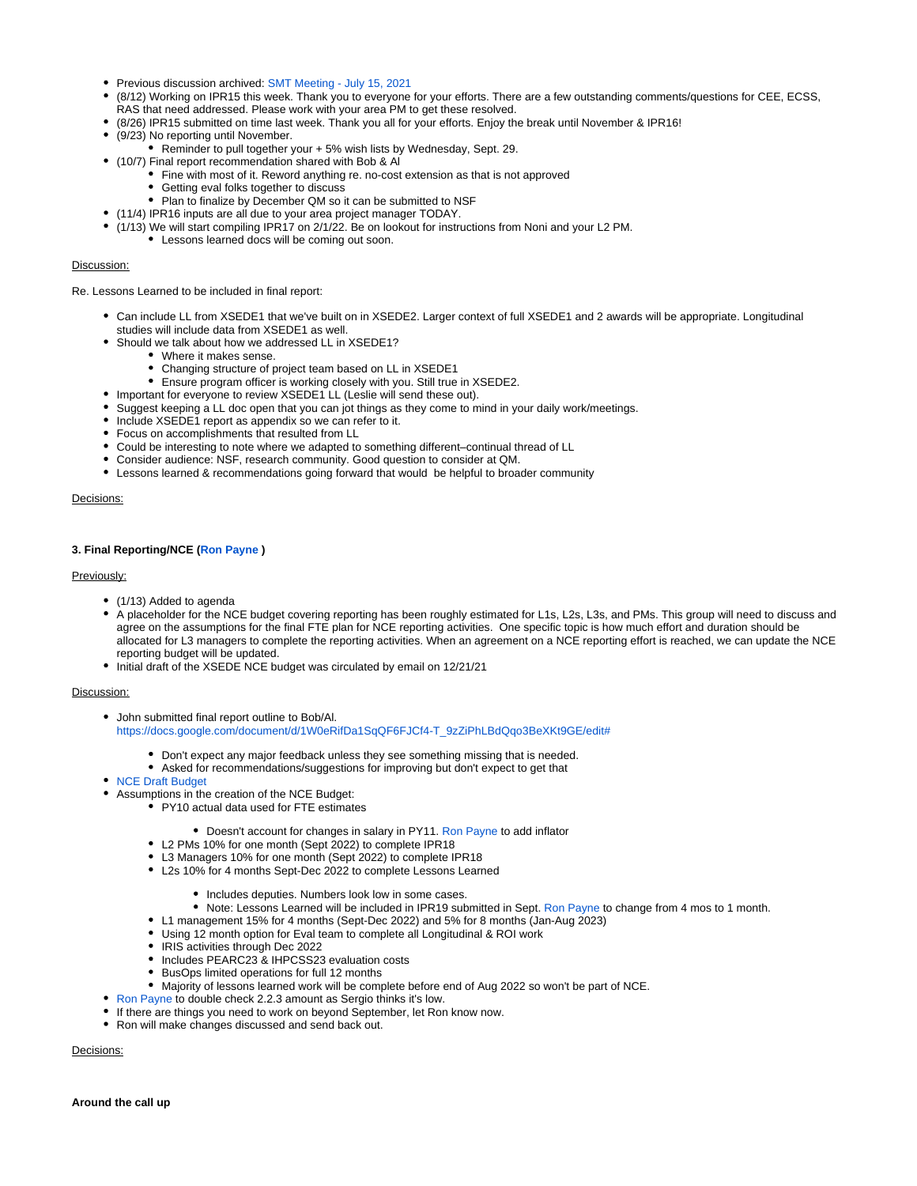- Previous discussion archived: [SMT Meeting July 15, 2021](https://confluence.xsede.org/display/XT/SMT+Meeting+-+July+15%2C+2021)
- (8/12) Working on IPR15 this week. Thank you to everyone for your efforts. There are a few outstanding comments/questions for CEE, ECSS,
- RAS that need addressed. Please work with your area PM to get these resolved.
- (8/26) IPR15 submitted on time last week. Thank you all for your efforts. Enjoy the break until November & IPR16!
- (9/23) No reporting until November.
	- Reminder to pull together your + 5% wish lists by Wednesday, Sept. 29.
- (10/7) Final report recommendation shared with Bob & Al
	- Fine with most of it. Reword anything re. no-cost extension as that is not approved
	- Getting eval folks together to discuss
	- Plan to finalize by December QM so it can be submitted to NSF
- (11/4) IPR16 inputs are all due to your area project manager TODAY.
	- (1/13) We will start compiling IPR17 on 2/1/22. Be on lookout for instructions from Noni and your L2 PM. Lessons learned docs will be coming out soon.

#### Discussion:

Re. Lessons Learned to be included in final report:

- Can include LL from XSEDE1 that we've built on in XSEDE2. Larger context of full XSEDE1 and 2 awards will be appropriate. Longitudinal studies will include data from XSEDE1 as well.
- Should we talk about how we addressed LL in XSEDE1?
	- Where it makes sense.
	- Changing structure of project team based on LL in XSEDE1
	- Ensure program officer is working closely with you. Still true in XSEDE2.
- Important for everyone to review XSEDE1 LL (Leslie will send these out).
- Suggest keeping a LL doc open that you can jot things as they come to mind in your daily work/meetings.
- Include XSEDE1 report as appendix so we can refer to it.
- Focus on accomplishments that resulted from LL
- Could be interesting to note where we adapted to something different–continual thread of LL
- Consider audience: NSF, research community. Good question to consider at QM.
- Lessons learned & recommendations going forward that would be helpful to broader community

#### Decisions:

#### **3. Final Reporting/NCE ([Ron Payne](https://confluence.xsede.org/display/~rpayne) )**

#### Previously:

- (1/13) Added to agenda
- A placeholder for the NCE budget covering reporting has been roughly estimated for L1s, L2s, L3s, and PMs. This group will need to discuss and agree on the assumptions for the final FTE plan for NCE reporting activities. One specific topic is how much effort and duration should be allocated for L3 managers to complete the reporting activities. When an agreement on a NCE reporting effort is reached, we can update the NCE reporting budget will be updated.
- Initial draft of the XSEDE NCE budget was circulated by email on 12/21/21

#### Discussion:

- John submitted final report outline to Bob/Al. [https://docs.google.com/document/d/1W0eRifDa1SqQF6FJCf4-T\\_9zZiPhLBdQqo3BeXKt9GE/edit#](https://docs.google.com/document/d/1W0eRifDa1SqQF6FJCf4-T_9zZiPhLBdQqo3BeXKt9GE/edit)
	- Don't expect any major feedback unless they see something missing that is needed.
	- Asked for recommendations/suggestions for improving but don't expect to get that
- [NCE Draft Budget](https://docs.google.com/spreadsheets/d/1JX8MwG7Or7JUBrZZSU8vH5dl3qzi0pXwvlYsbax70pY/edit#gid=0)
- Assumptions in the creation of the NCE Budget:
	- PY10 actual data used for FTE estimates
		- Doesn't account for changes in salary in PY11. [Ron Payne](https://confluence.xsede.org/display/~rpayne) to add inflator
		- L2 PMs 10% for one month (Sept 2022) to complete IPR18
		- L3 Managers 10% for one month (Sept 2022) to complete IPR18
		- L2s 10% for 4 months Sept-Dec 2022 to complete Lessons Learned
			- Includes deputies. Numbers look low in some cases.
			- Note: Lessons Learned will be included in IPR19 submitted in Sept. [Ron Payne](https://confluence.xsede.org/display/~rpayne) to change from 4 mos to 1 month.
		- L1 management 15% for 4 months (Sept-Dec 2022) and 5% for 8 months (Jan-Aug 2023)
		- Using 12 month option for Eval team to complete all Longitudinal & ROI work
		- IRIS activities through Dec 2022
		- Includes PEARC23 & IHPCSS23 evaluation costs
		- BusOps limited operations for full 12 months
	- Majority of lessons learned work will be complete before end of Aug 2022 so won't be part of NCE.
- [Ron Payne](https://confluence.xsede.org/display/~rpayne) to double check 2.2.3 amount as Sergio thinks it's low.
- If there are things you need to work on beyond September, let Ron know now.
- Ron will make changes discussed and send back out.

Decisions: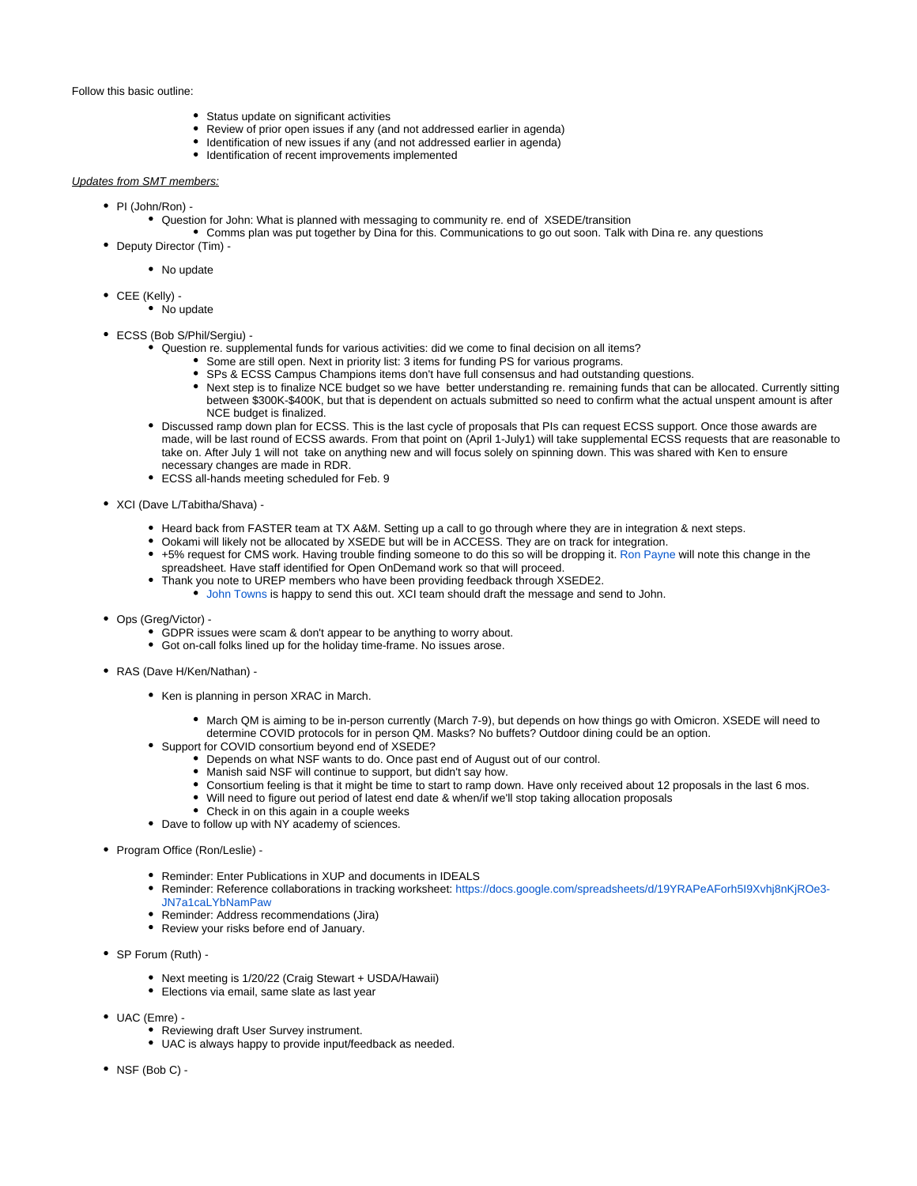#### Follow this basic outline:

- Status update on significant activities
- Review of prior open issues if any (and not addressed earlier in agenda)
- Identification of new issues if any (and not addressed earlier in agenda)
- Identification of recent improvements implemented

#### Updates from SMT members:

- PI (John/Ron) -
	- Question for John: What is planned with messaging to community re. end of XSEDE/transition
- Comms plan was put together by Dina for this. Communications to go out soon. Talk with Dina re. any questions • Deputy Director (Tim) -
	- No update
- CEE (Kelly)
	- No update
- ECSS (Bob S/Phil/Sergiu)
	- Question re. supplemental funds for various activities: did we come to final decision on all items?
		- Some are still open. Next in priority list: 3 items for funding PS for various programs.
			- SPs & ECSS Campus Champions items don't have full consensus and had outstanding questions.
			- Next step is to finalize NCE budget so we have better understanding re. remaining funds that can be allocated. Currently sitting between \$300K-\$400K, but that is dependent on actuals submitted so need to confirm what the actual unspent amount is after NCE budget is finalized.
	- Discussed ramp down plan for ECSS. This is the last cycle of proposals that PIs can request ECSS support. Once those awards are made, will be last round of ECSS awards. From that point on (April 1-July1) will take supplemental ECSS requests that are reasonable to take on. After July 1 will not take on anything new and will focus solely on spinning down. This was shared with Ken to ensure necessary changes are made in RDR.
	- ECSS all-hands meeting scheduled for Feb. 9
- XCI (Dave L/Tabitha/Shava)
	- Heard back from FASTER team at TX A&M. Setting up a call to go through where they are in integration & next steps.
	- Ookami will likely not be allocated by XSEDE but will be in ACCESS. They are on track for integration.
	- +5% request for CMS work. Having trouble finding someone to do this so will be dropping it. [Ron Payne](https://confluence.xsede.org/display/~rpayne) will note this change in the spreadsheet. Have staff identified for Open OnDemand work so that will proceed.
	- Thank you note to UREP members who have been providing feedback through XSEDE2.
		- [John Towns](https://confluence.xsede.org/display/~jtowns) is happy to send this out. XCI team should draft the message and send to John.
- Ops (Greg/Victor)
	- GDPR issues were scam & don't appear to be anything to worry about.
	- Got on-call folks lined up for the holiday time-frame. No issues arose.
- RAS (Dave H/Ken/Nathan)
	- Ken is planning in person XRAC in March.
		- March QM is aiming to be in-person currently (March 7-9), but depends on how things go with Omicron. XSEDE will need to determine COVID protocols for in person QM. Masks? No buffets? Outdoor dining could be an option.
	- Support for COVID consortium beyond end of XSEDE?
		- Depends on what NSF wants to do. Once past end of August out of our control.
		- Manish said NSF will continue to support, but didn't say how.
		- Consortium feeling is that it might be time to start to ramp down. Have only received about 12 proposals in the last 6 mos.
		- Will need to figure out period of latest end date & when/if we'll stop taking allocation proposals
		- Check in on this again in a couple weeks
	- Dave to follow up with NY academy of sciences.
- Program Office (Ron/Leslie) -
	- Reminder: Enter Publications in XUP and documents in IDEALS
	- Reminder: Reference collaborations in tracking worksheet: [https://docs.google.com/spreadsheets/d/19YRAPeAForh5I9Xvhj8nKjROe3-](https://docs.google.com/spreadsheets/d/19YRAPeAForh5I9Xvhj8nKjROe3-JN7a1caLYbNamPaw) [JN7a1caLYbNamPaw](https://docs.google.com/spreadsheets/d/19YRAPeAForh5I9Xvhj8nKjROe3-JN7a1caLYbNamPaw)
	- Reminder: Address recommendations (Jira)
	- Review your risks before end of January.
- SP Forum (Ruth)
	- Next meeting is 1/20/22 (Craig Stewart + USDA/Hawaii)
	- Elections via email, same slate as last year
- UAC (Emre)
	- **Reviewing draft User Survey instrument.** 
		- UAC is always happy to provide input/feedback as needed.
- $\bullet$  NSF (Bob C) -